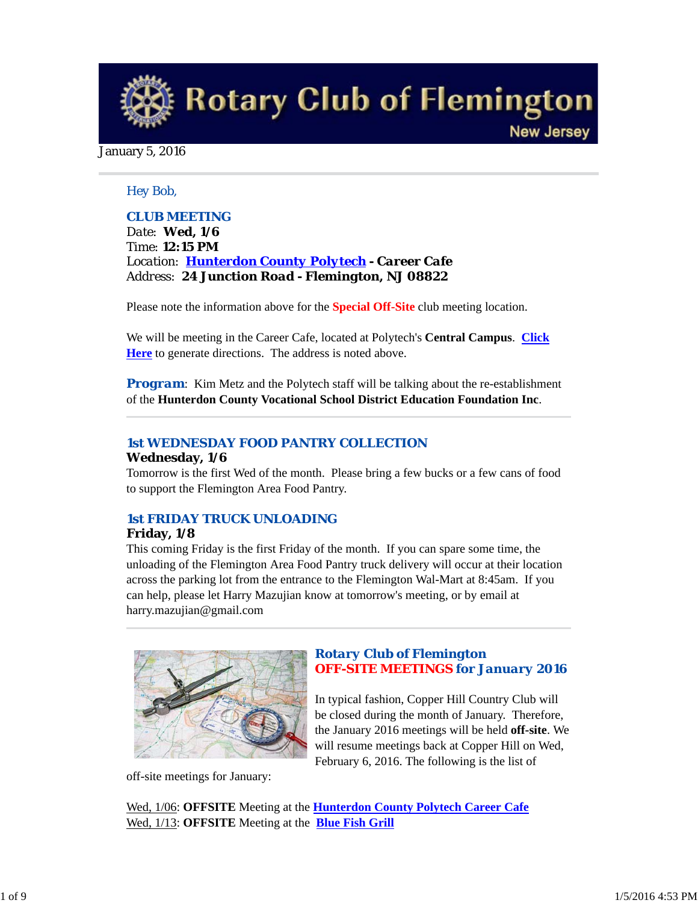**Rotary Club of Flemington New Jersey** 

January 5, 2016

## *Hey Bob,*

## *CLUB MEETING*

*Date: Wed, 1/6 Time: 12:15 PM Location: Hunterdon County Polytech - Career Cafe Address: 24 Junction Road - Flemington, NJ 08822*

Please note the information above for the **Special Off-Site** club meeting location.

We will be meeting in the Career Cafe, located at Polytech's **Central Campus**. **Click Here** to generate directions. The address is noted above.

*Program*: Kim Metz and the Polytech staff will be talking about the re-establishment of the **Hunterdon County Vocational School District Education Foundation Inc**.

# *1st WEDNESDAY FOOD PANTRY COLLECTION*

### **Wednesday, 1/6**

Tomorrow is the first Wed of the month. Please bring a few bucks or a few cans of food to support the Flemington Area Food Pantry.

# *1st FRIDAY TRUCK UNLOADING*

### **Friday, 1/8**

This coming Friday is the first Friday of the month. If you can spare some time, the unloading of the Flemington Area Food Pantry truck delivery will occur at their location across the parking lot from the entrance to the Flemington Wal-Mart at 8:45am. If you can help, please let Harry Mazujian know at tomorrow's meeting, or by email at harry.mazujian@gmail.com



off-site meetings for January:

# *Rotary Club of Flemington OFF-SITE MEETINGS for January 2016*

In typical fashion, Copper Hill Country Club will be closed during the month of January. Therefore, the January 2016 meetings will be held **off-site**. We will resume meetings back at Copper Hill on Wed, February 6, 2016. The following is the list of

Wed, 1/06: **OFFSITE** Meeting at the **Hunterdon County Polytech Career Cafe** Wed, 1/13: **OFFSITE** Meeting at the **Blue Fish Grill**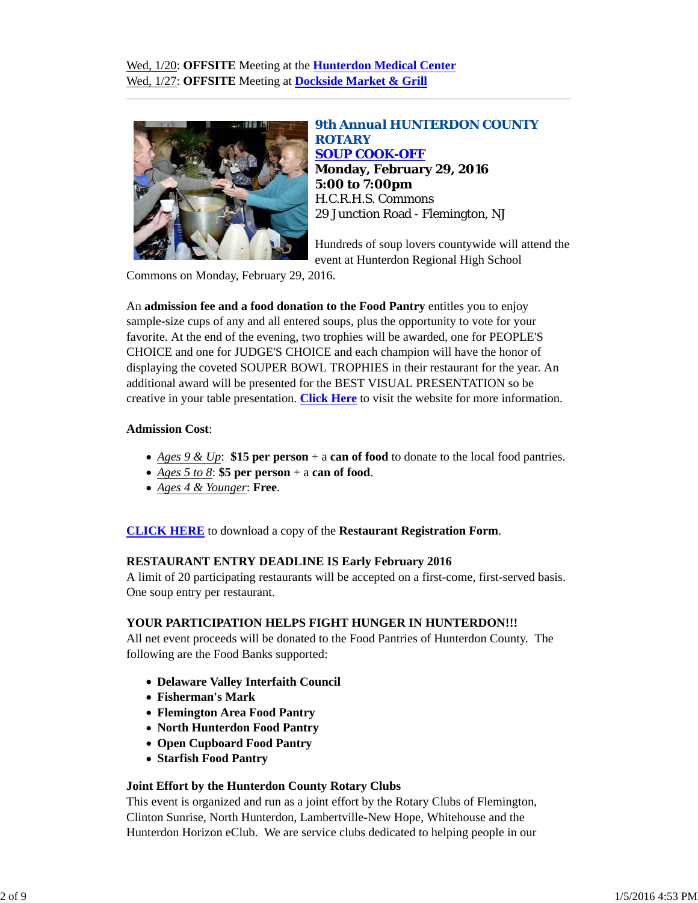

*9th Annual HUNTERDON COUNTY ROTARY SOUP COOK-OFF* **Monday, February 29, 2016 5:00 to 7:00pm** H.C.R.H.S. Commons 29 Junction Road - Flemington, NJ

Hundreds of soup lovers countywide will attend the event at Hunterdon Regional High School

Commons on Monday, February 29, 2016.

An **admission fee and a food donation to the Food Pantry** entitles you to enjoy sample-size cups of any and all entered soups, plus the opportunity to vote for your favorite. At the end of the evening, two trophies will be awarded, one for PEOPLE'S CHOICE and one for JUDGE'S CHOICE and each champion will have the honor of displaying the coveted SOUPER BOWL TROPHIES in their restaurant for the year. An additional award will be presented for the BEST VISUAL PRESENTATION so be creative in your table presentation. **Click Here** to visit the website for more information.

### **Admission Cost**:

- *Ages 9 & Up*: **\$15 per person** + a **can of food** to donate to the local food pantries.
- *Ages 5 to 8*: **\$5 per person** + a **can of food**.
- *Ages 4 & Younger*: **Free**.

**CLICK HERE** to download a copy of the **Restaurant Registration Form**.

#### **RESTAURANT ENTRY DEADLINE IS Early February 2016**

A limit of 20 participating restaurants will be accepted on a first-come, first-served basis. One soup entry per restaurant.

#### **YOUR PARTICIPATION HELPS FIGHT HUNGER IN HUNTERDON!!!**

All net event proceeds will be donated to the Food Pantries of Hunterdon County. The following are the Food Banks supported:

- **Delaware Valley Interfaith Council**
- **Fisherman's Mark**
- **Flemington Area Food Pantry**
- **North Hunterdon Food Pantry**
- **Open Cupboard Food Pantry**
- **Starfish Food Pantry**

#### **Joint Effort by the Hunterdon County Rotary Clubs**

This event is organized and run as a joint effort by the Rotary Clubs of Flemington, Clinton Sunrise, North Hunterdon, Lambertville-New Hope, Whitehouse and the Hunterdon Horizon eClub. We are service clubs dedicated to helping people in our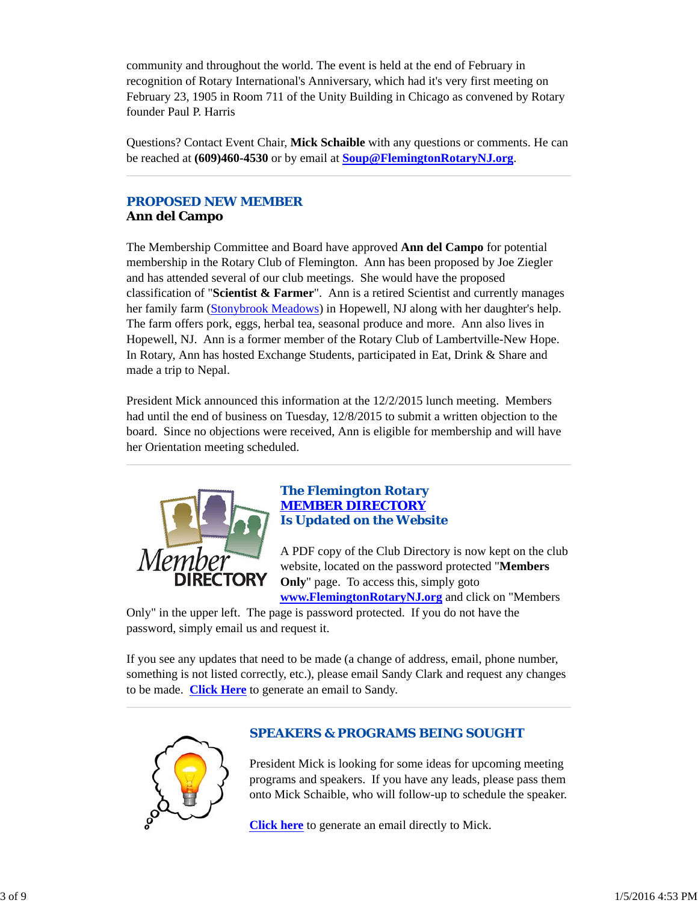community and throughout the world. The event is held at the end of February in recognition of Rotary International's Anniversary, which had it's very first meeting on February 23, 1905 in Room 711 of the Unity Building in Chicago as convened by Rotary founder Paul P. Harris

Questions? Contact Event Chair, **Mick Schaible** with any questions or comments. He can be reached at **(609)460-4530** or by email at **Soup@FlemingtonRotaryNJ.org**.

## *PROPOSED NEW MEMBER* **Ann del Campo**

The Membership Committee and Board have approved **Ann del Campo** for potential membership in the Rotary Club of Flemington. Ann has been proposed by Joe Ziegler and has attended several of our club meetings. She would have the proposed classification of "**Scientist & Farmer**". Ann is a retired Scientist and currently manages her family farm (Stonybrook Meadows) in Hopewell, NJ along with her daughter's help. The farm offers pork, eggs, herbal tea, seasonal produce and more. Ann also lives in Hopewell, NJ. Ann is a former member of the Rotary Club of Lambertville-New Hope. In Rotary, Ann has hosted Exchange Students, participated in Eat, Drink & Share and made a trip to Nepal.

President Mick announced this information at the 12/2/2015 lunch meeting. Members had until the end of business on Tuesday, 12/8/2015 to submit a written objection to the board. Since no objections were received, Ann is eligible for membership and will have her Orientation meeting scheduled.



# *The Flemington Rotary MEMBER DIRECTORY Is Updated on the Website*

A PDF copy of the Club Directory is now kept on the club website, located on the password protected "**Members Only**" page. To access this, simply goto

**www.FlemingtonRotaryNJ.org** and click on "Members

Only" in the upper left. The page is password protected. If you do not have the password, simply email us and request it.

If you see any updates that need to be made (a change of address, email, phone number, something is not listed correctly, etc.), please email Sandy Clark and request any changes to be made. **Click Here** to generate an email to Sandy.



# *SPEAKERS & PROGRAMS BEING SOUGHT*

President Mick is looking for some ideas for upcoming meeting programs and speakers. If you have any leads, please pass them onto Mick Schaible, who will follow-up to schedule the speaker.

**Click here** to generate an email directly to Mick.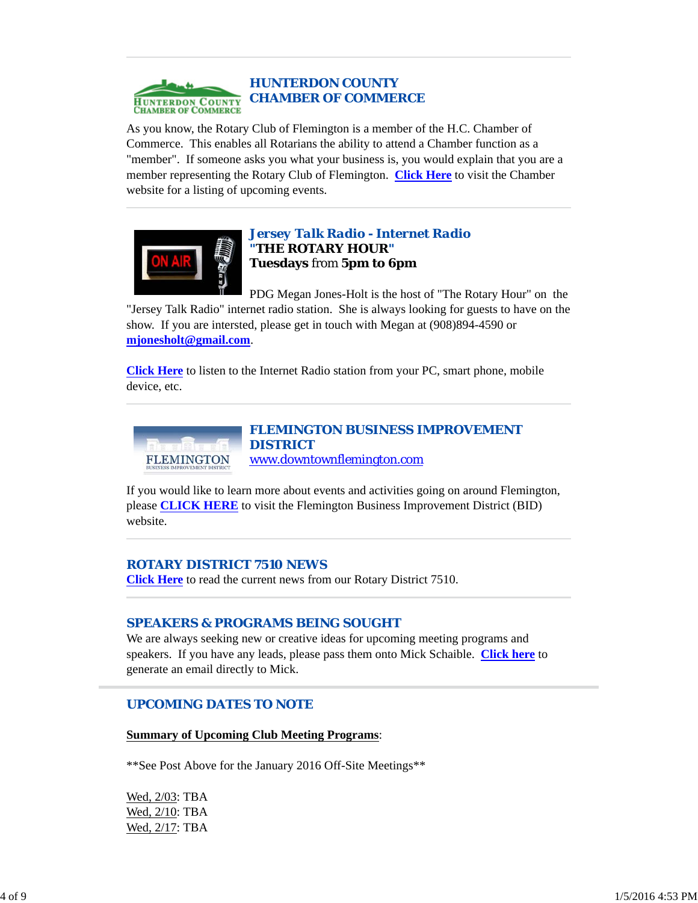

As you know, the Rotary Club of Flemington is a member of the H.C. Chamber of Commerce. This enables all Rotarians the ability to attend a Chamber function as a "member". If someone asks you what your business is, you would explain that you are a member representing the Rotary Club of Flemington. **Click Here** to visit the Chamber website for a listing of upcoming events.



# *Jersey Talk Radio - Internet Radio "THE ROTARY HOUR"* **Tuesdays** from **5pm to 6pm**

PDG Megan Jones-Holt is the host of "The Rotary Hour" on the "Jersey Talk Radio" internet radio station. She is always looking for guests to have on the show. If you are intersted, please get in touch with Megan at (908)894-4590 or **mjonesholt@gmail.com**.

**Click Here** to listen to the Internet Radio station from your PC, smart phone, mobile device, etc.



# *FLEMINGTON BUSINESS IMPROVEMENT* www.downtownflemington.com

If you would like to learn more about events and activities going on around Flemington, please **CLICK HERE** to visit the Flemington Business Improvement District (BID) website.

# *ROTARY DISTRICT 7510 NEWS*

**Click Here** to read the current news from our Rotary District 7510.

# *SPEAKERS & PROGRAMS BEING SOUGHT*

We are always seeking new or creative ideas for upcoming meeting programs and speakers. If you have any leads, please pass them onto Mick Schaible. **Click here** to generate an email directly to Mick.

### *UPCOMING DATES TO NOTE*

**Summary of Upcoming Club Meeting Programs**:

\*\*See Post Above for the January 2016 Off-Site Meetings\*\*

Wed, 2/03: TBA Wed, 2/10: TBA Wed, 2/17: TBA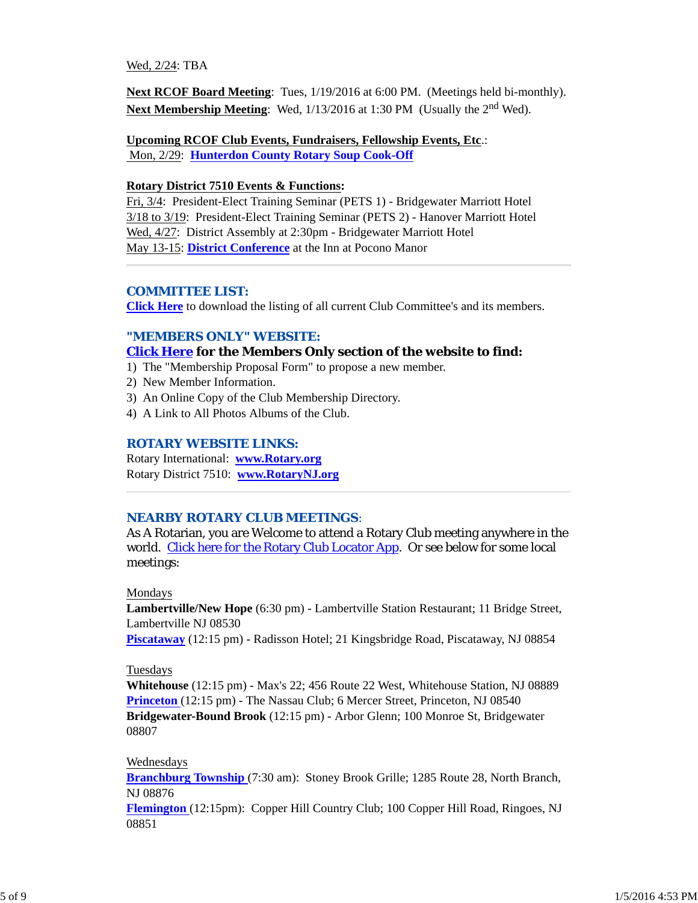#### Wed, 2/24: TBA

**Next RCOF Board Meeting**: Tues, 1/19/2016 at 6:00 PM. (Meetings held bi-monthly). **Next Membership Meeting:** Wed,  $1/13/2016$  at 1:30 PM (Usually the 2<sup>nd</sup> Wed).

**Upcoming RCOF Club Events, Fundraisers, Fellowship Events, Etc**.: Mon, 2/29: **Hunterdon County Rotary Soup Cook-Off**

#### **Rotary District 7510 Events & Functions:**

Fri, 3/4: President-Elect Training Seminar (PETS 1) - Bridgewater Marriott Hotel 3/18 to 3/19: President-Elect Training Seminar (PETS 2) - Hanover Marriott Hotel Wed, 4/27: District Assembly at 2:30pm - Bridgewater Marriott Hotel May 13-15: **District Conference** at the Inn at Pocono Manor

#### *COMMITTEE LIST:*

**Click Here** to download the listing of all current Club Committee's and its members.

#### *"MEMBERS ONLY" WEBSITE:*

#### **Click Here for the Members Only section of the website to find:**

1) The "Membership Proposal Form" to propose a new member.

- 2) New Member Information.
- 3) An Online Copy of the Club Membership Directory.
- 4) A Link to All Photos Albums of the Club.

## *ROTARY WEBSITE LINKS:*

Rotary International: **www.Rotary.org** Rotary District 7510: **www.RotaryNJ.org**

#### *NEARBY ROTARY CLUB MEETINGS:*

As A Rotarian, you are Welcome to attend a Rotary Club meeting anywhere in the world. Click here for the Rotary Club Locator App. Or see below for some local meetings:

#### Mondays

**Lambertville/New Hope** (6:30 pm) - Lambertville Station Restaurant; 11 Bridge Street, Lambertville NJ 08530

**Piscataway** (12:15 pm) - Radisson Hotel; 21 Kingsbridge Road, Piscataway, NJ 08854

#### Tuesdays

**Whitehouse** (12:15 pm) - Max's 22; 456 Route 22 West, Whitehouse Station, NJ 08889 **Princeton** (12:15 pm) - The Nassau Club; 6 Mercer Street, Princeton, NJ 08540 **Bridgewater-Bound Brook** (12:15 pm) - Arbor Glenn; 100 Monroe St, Bridgewater 08807

#### Wednesdays

**Branchburg Township** (7:30 am): Stoney Brook Grille; 1285 Route 28, North Branch, NJ 08876

**Flemington** (12:15pm): Copper Hill Country Club; 100 Copper Hill Road, Ringoes, NJ 08851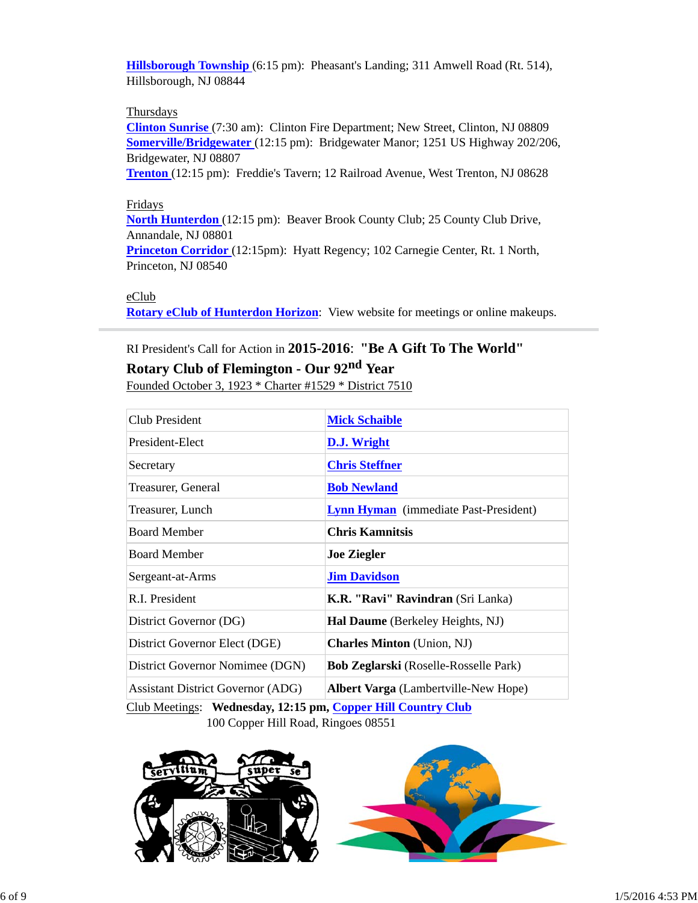**Hillsborough Township** (6:15 pm): Pheasant's Landing; 311 Amwell Road (Rt. 514), Hillsborough, NJ 08844

### **Thursdays**

**Clinton Sunrise** (7:30 am): Clinton Fire Department; New Street, Clinton, NJ 08809 **Somerville/Bridgewater** (12:15 pm): Bridgewater Manor; 1251 US Highway 202/206, Bridgewater, NJ 08807

**Trenton** (12:15 pm): Freddie's Tavern; 12 Railroad Avenue, West Trenton, NJ 08628

### Fridays

**North Hunterdon** (12:15 pm): Beaver Brook County Club; 25 County Club Drive, Annandale, NJ 08801

**Princeton Corridor** (12:15pm): Hyatt Regency; 102 Carnegie Center, Rt. 1 North, Princeton, NJ 08540

#### eClub

**Rotary eClub of Hunterdon Horizon**: View website for meetings or online makeups.

# RI President's Call for Action in **2015-2016**: **"Be A Gift To The World"**

# **Rotary Club of Flemington - Our 92nd Year**

Founded October 3, 1923 \* Charter #1529 \* District 7510

| Club President                           | <b>Mick Schaible</b>                         |  |
|------------------------------------------|----------------------------------------------|--|
| President-Elect                          | D.J. Wright                                  |  |
| Secretary                                | <b>Chris Steffner</b>                        |  |
| Treasurer, General                       | <b>Bob Newland</b>                           |  |
| Treasurer, Lunch                         | <b>Lynn Hyman</b> (immediate Past-President) |  |
| <b>Board Member</b>                      | <b>Chris Kamnitsis</b>                       |  |
| <b>Board Member</b>                      | <b>Joe Ziegler</b>                           |  |
| Sergeant-at-Arms                         | <b>Jim Davidson</b>                          |  |
| R.I. President                           | K.R. "Ravi" Ravindran (Sri Lanka)            |  |
| District Governor (DG)                   | <b>Hal Daume</b> (Berkeley Heights, NJ)      |  |
| District Governor Elect (DGE)            | <b>Charles Minton</b> (Union, NJ)            |  |
| District Governor Nomimee (DGN)          | <b>Bob Zeglarski</b> (Roselle-Rosselle Park) |  |
| <b>Assistant District Governor (ADG)</b> | <b>Albert Varga</b> (Lambertville-New Hope)  |  |

Club Meetings: **Wednesday, 12:15 pm, Copper Hill Country Club** 100 Copper Hill Road, Ringoes 08551

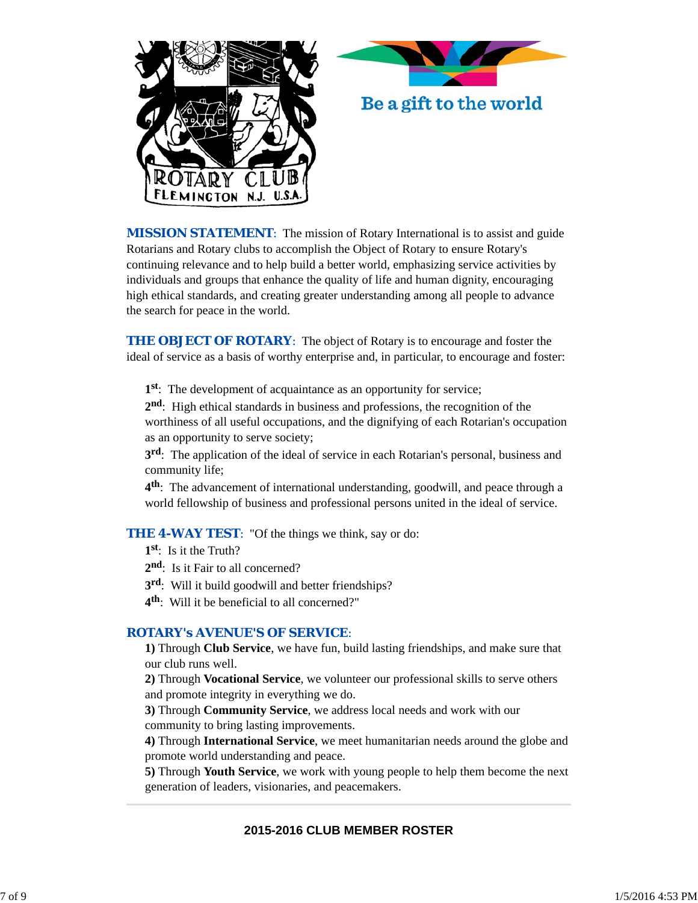



*MISSION STATEMENT*: The mission of Rotary International is to assist and guide Rotarians and Rotary clubs to accomplish the Object of Rotary to ensure Rotary's continuing relevance and to help build a better world, emphasizing service activities by individuals and groups that enhance the quality of life and human dignity, encouraging high ethical standards, and creating greater understanding among all people to advance the search for peace in the world.

**THE OBJECT OF ROTARY:** The object of Rotary is to encourage and foster the ideal of service as a basis of worthy enterprise and, in particular, to encourage and foster:

**1st**: The development of acquaintance as an opportunity for service;

**2nd**: High ethical standards in business and professions, the recognition of the worthiness of all useful occupations, and the dignifying of each Rotarian's occupation as an opportunity to serve society;

**3rd**: The application of the ideal of service in each Rotarian's personal, business and community life;

**4th**: The advancement of international understanding, goodwill, and peace through a world fellowship of business and professional persons united in the ideal of service.

### **THE 4-WAY TEST:** "Of the things we think, say or do:

- **1st**: Is it the Truth?
- 2<sup>nd</sup>: Is it Fair to all concerned?
- **3rd**: Will it build goodwill and better friendships?
- **4th**: Will it be beneficial to all concerned?"

### *ROTARY's AVENUE'S OF SERVICE*:

**1)** Through **Club Service**, we have fun, build lasting friendships, and make sure that our club runs well.

**2)** Through **Vocational Service**, we volunteer our professional skills to serve others and promote integrity in everything we do.

**3)** Through **Community Service**, we address local needs and work with our community to bring lasting improvements.

**4)** Through **International Service**, we meet humanitarian needs around the globe and promote world understanding and peace.

**5)** Through **Youth Service**, we work with young people to help them become the next generation of leaders, visionaries, and peacemakers.

# **2015-2016 CLUB MEMBER ROSTER**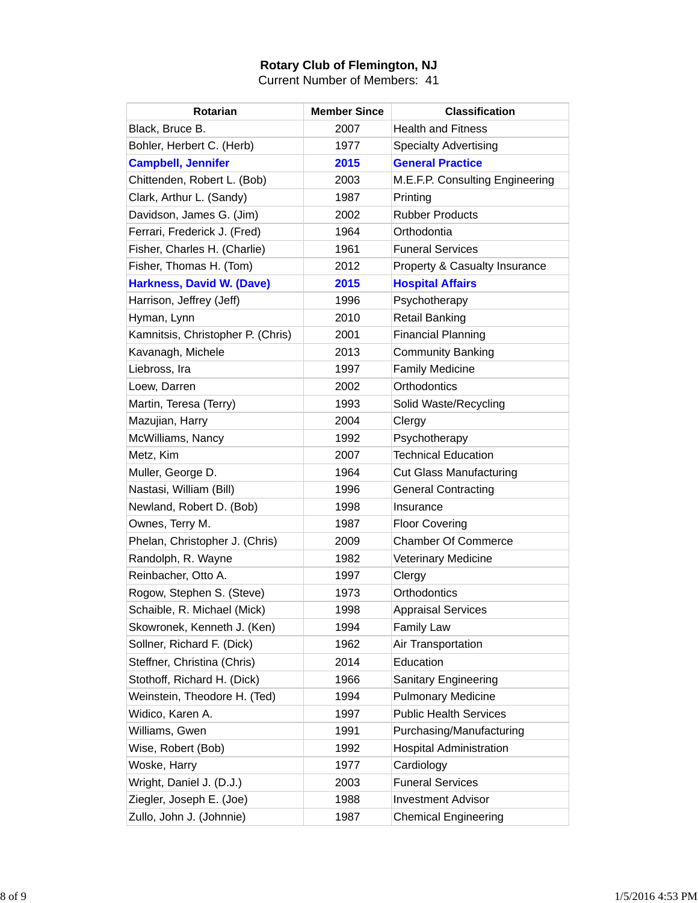# **Rotary Club of Flemington, NJ**

Current Number of Members: 41

| <b>Rotarian</b>                   | <b>Member Since</b> | <b>Classification</b>           |
|-----------------------------------|---------------------|---------------------------------|
| Black, Bruce B.                   | 2007                | <b>Health and Fitness</b>       |
| Bohler, Herbert C. (Herb)         | 1977                | <b>Specialty Advertising</b>    |
| <b>Campbell, Jennifer</b>         | 2015                | <b>General Practice</b>         |
| Chittenden, Robert L. (Bob)       | 2003                | M.E.F.P. Consulting Engineering |
| Clark, Arthur L. (Sandy)          | 1987                | Printing                        |
| Davidson, James G. (Jim)          | 2002                | <b>Rubber Products</b>          |
| Ferrari, Frederick J. (Fred)      | 1964                | Orthodontia                     |
| Fisher, Charles H. (Charlie)      | 1961                | <b>Funeral Services</b>         |
| Fisher, Thomas H. (Tom)           | 2012                | Property & Casualty Insurance   |
| Harkness, David W. (Dave)         | 2015                | <b>Hospital Affairs</b>         |
| Harrison, Jeffrey (Jeff)          | 1996                | Psychotherapy                   |
| Hyman, Lynn                       | 2010                | <b>Retail Banking</b>           |
| Kamnitsis, Christopher P. (Chris) | 2001                | <b>Financial Planning</b>       |
| Kavanagh, Michele                 | 2013                | <b>Community Banking</b>        |
| Liebross, Ira                     | 1997                | <b>Family Medicine</b>          |
| Loew, Darren                      | 2002                | Orthodontics                    |
| Martin, Teresa (Terry)            | 1993                | Solid Waste/Recycling           |
| Mazujian, Harry                   | 2004                | Clergy                          |
| McWilliams, Nancy                 | 1992                | Psychotherapy                   |
| Metz, Kim                         | 2007                | <b>Technical Education</b>      |
| Muller, George D.                 | 1964                | <b>Cut Glass Manufacturing</b>  |
| Nastasi, William (Bill)           | 1996                | <b>General Contracting</b>      |
| Newland, Robert D. (Bob)          | 1998                | Insurance                       |
| Ownes, Terry M.                   | 1987                | <b>Floor Covering</b>           |
| Phelan, Christopher J. (Chris)    | 2009                | <b>Chamber Of Commerce</b>      |
| Randolph, R. Wayne                | 1982                | <b>Veterinary Medicine</b>      |
| Reinbacher, Otto A.               | 1997                | Clergy                          |
| Rogow, Stephen S. (Steve)         | 1973                | Orthodontics                    |
| Schaible, R. Michael (Mick)       | 1998                | <b>Appraisal Services</b>       |
| Skowronek, Kenneth J. (Ken)       | 1994                | <b>Family Law</b>               |
| Sollner, Richard F. (Dick)        | 1962                | Air Transportation              |
| Steffner, Christina (Chris)       | 2014                | Education                       |
| Stothoff, Richard H. (Dick)       | 1966                | Sanitary Engineering            |
| Weinstein, Theodore H. (Ted)      | 1994                | <b>Pulmonary Medicine</b>       |
| Widico, Karen A.                  | 1997                | <b>Public Health Services</b>   |
| Williams, Gwen                    | 1991                | Purchasing/Manufacturing        |
| Wise, Robert (Bob)                | 1992                | <b>Hospital Administration</b>  |
| Woske, Harry                      | 1977                | Cardiology                      |
| Wright, Daniel J. (D.J.)          | 2003                | <b>Funeral Services</b>         |
| Ziegler, Joseph E. (Joe)          | 1988                | <b>Investment Advisor</b>       |
| Zullo, John J. (Johnnie)          | 1987                | <b>Chemical Engineering</b>     |